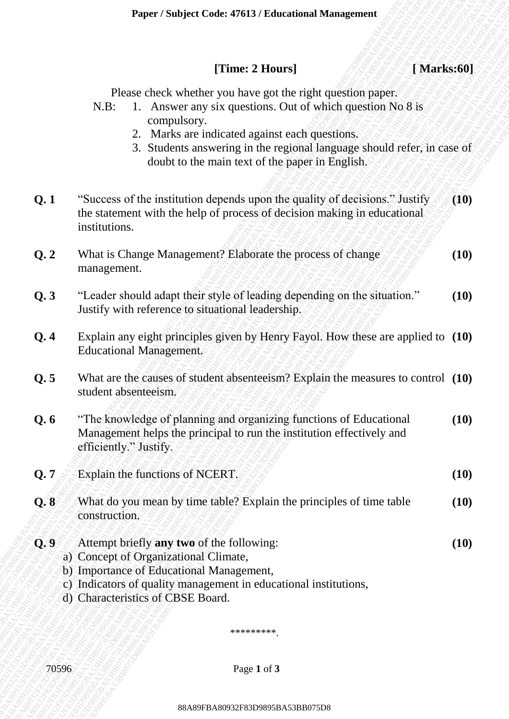### **[Time: 2 Hours] [ Marks:60]**

- N.B: 1. Answer any six questions. Out of which question No 8 is compulsory.
	- 2. Marks are indicated against each questions.
	- 3. Students answering in the regional language should refer, in case of doubt to the main text of the paper in English.

|       | [Time: 2 Hours]<br>[Marks:60]                                                                                                                                                                                                                                                                                                       |      |
|-------|-------------------------------------------------------------------------------------------------------------------------------------------------------------------------------------------------------------------------------------------------------------------------------------------------------------------------------------|------|
|       | Please check whether you have got the right question paper.<br>1. Answer any six questions. Out of which question No 8 is<br>$N.B$ :<br>compulsory.<br>2. Marks are indicated against each questions.<br>3. Students answering in the regional language should refer, in case of<br>doubt to the main text of the paper in English. |      |
| Q.1   | "Success of the institution depends upon the quality of decisions." Justify<br>the statement with the help of process of decision making in educational<br>institutions.                                                                                                                                                            | (10) |
| Q.2   | What is Change Management? Elaborate the process of change<br>management.                                                                                                                                                                                                                                                           | (10) |
| Q.3   | "Leader should adapt their style of leading depending on the situation."<br>Justify with reference to situational leadership.                                                                                                                                                                                                       | (10) |
| Q.4   | Explain any eight principles given by Henry Fayol. How these are applied to (10)<br><b>Educational Management.</b>                                                                                                                                                                                                                  |      |
| Q.5   | What are the causes of student absenteeism? Explain the measures to control (10)<br>student absenteeism.                                                                                                                                                                                                                            |      |
| Q.6   | "The knowledge of planning and organizing functions of Educational<br>Management helps the principal to run the institution effectively and<br>efficiently." Justify.                                                                                                                                                               | (10) |
| Q.7   | Explain the functions of NCERT.                                                                                                                                                                                                                                                                                                     | (10) |
| Q.8   | What do you mean by time table? Explain the principles of time table<br>construction.                                                                                                                                                                                                                                               | (10) |
| Q, 9  | Attempt briefly any two of the following:<br>a) Concept of Organizational Climate,<br>b) Importance of Educational Management,<br>c) Indicators of quality management in educational institutions,<br>d) Characteristics of CBSE Board.                                                                                             | (10) |
|       | *********                                                                                                                                                                                                                                                                                                                           |      |
| 70596 | Page 1 of 3                                                                                                                                                                                                                                                                                                                         |      |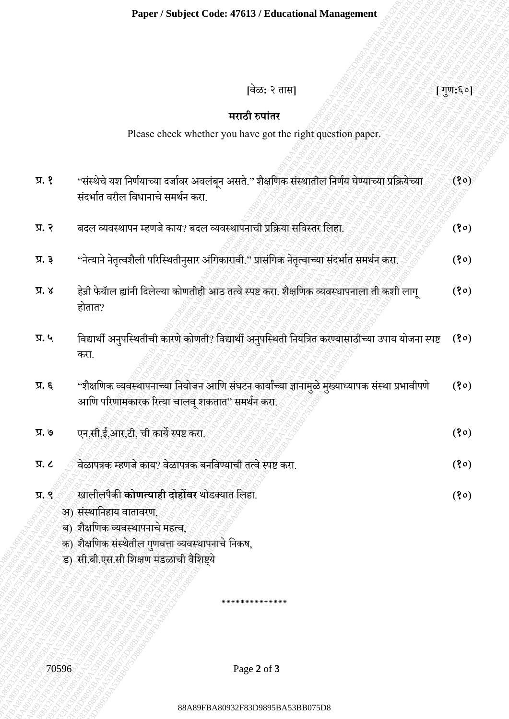## **[**वेळ**:** २ तास**] [** गणु**:**६०**]**

## **मराठी रुपाांतर**

|                          | Paper / Subject Code: 47613 / Educational Management                                                                                                |          |
|--------------------------|-----------------------------------------------------------------------------------------------------------------------------------------------------|----------|
|                          |                                                                                                                                                     |          |
|                          | [वेळ: २ तास]                                                                                                                                        | [गुण:६०] |
|                          | मराठी रुपांतर                                                                                                                                       |          |
|                          | Please check whether you have got the right question paper.                                                                                         |          |
|                          |                                                                                                                                                     |          |
| $\lambda$ . $\beta$      | ''संस्थेचे यश निर्णयाच्या दर्जावर अवलंबून असते.'' शैक्षणिक संस्थातील निर्णय घेण्याच्या प्रक्रियेच्या<br>संदर्भात वरील विधानाचे समर्थन करा.          | (30)     |
| प्र. २                   | बदल व्यवस्थापन म्हणजे काय? बदल व्यवस्थापनाची प्रक्रिया सविस्तर लिहा.                                                                                | (30)     |
| प्र. ३                   | ''नेत्याने नेतृत्वशैली परिस्थितीनुसार अंगिकारावी.'' प्रासंगिक नेतृत्वाच्या संदर्भात समर्थन करा.                                                     | (30)     |
| $\lambda$ . $\lambda$    | हेन्री फेयॉल ह्यांनी दिलेल्या कोणतीही आठ तत्वे स्पष्ट करा. शैक्षणिक व्यवस्थापनाला ती कशी लागू<br>होतात?                                             | (30)     |
| प्र. ५                   | विद्यार्थी अनुपस्थितीची कारणे कोणती? विद्यार्थी अनुपस्थिती नियंत्रित करण्यासाठीच्या उपाय योजना स्पष्ट (१०)<br>करा.                                  |          |
| प्र. ६                   | ''शैक्षणिक व्यवस्थापनाच्या नियोजन आणि संघटन कार्यांच्या ज्ञानामुळे मुख्याध्यापक संस्था प्रभावीपणे<br>आणि परिणामकारक रित्या चालवू शकतात" समर्थन करा. | (30)     |
| प्र. ७                   | एन,सी,ई,आर,टी, ची कार्ये स्पष्ट करा.                                                                                                                | (30)     |
| $\overline{X}$ . $\zeta$ | वेळापत्रक म्हणजे काय? वेळापत्रक बनविण्याची तत्वे स्पष्ट करा.                                                                                        | (30)     |
| प्र, ९                   | खालीलपैकी <b>कोणत्याही दोहोंवर</b> थोडक्यात लिहा.                                                                                                   | (30)     |
|                          | अ) संस्थानिहाय वातावरण,<br>ब) शैक्षणिक व्यवस्थापनाचे महत्व,                                                                                         |          |
|                          | क) शैक्षणिक संस्थेतील गुणवत्ता व्यवस्थापनाचे निकष,                                                                                                  |          |
|                          | ड) सी.बी.एस.सी शिक्षण मंडळाची वैशिष्ट्ये                                                                                                            |          |
|                          |                                                                                                                                                     |          |
|                          |                                                                                                                                                     |          |
| 70596                    | Page 2 of 3                                                                                                                                         |          |
|                          |                                                                                                                                                     |          |
|                          | 88A89FBA80932F83D9895BA53BB075D8                                                                                                                    |          |